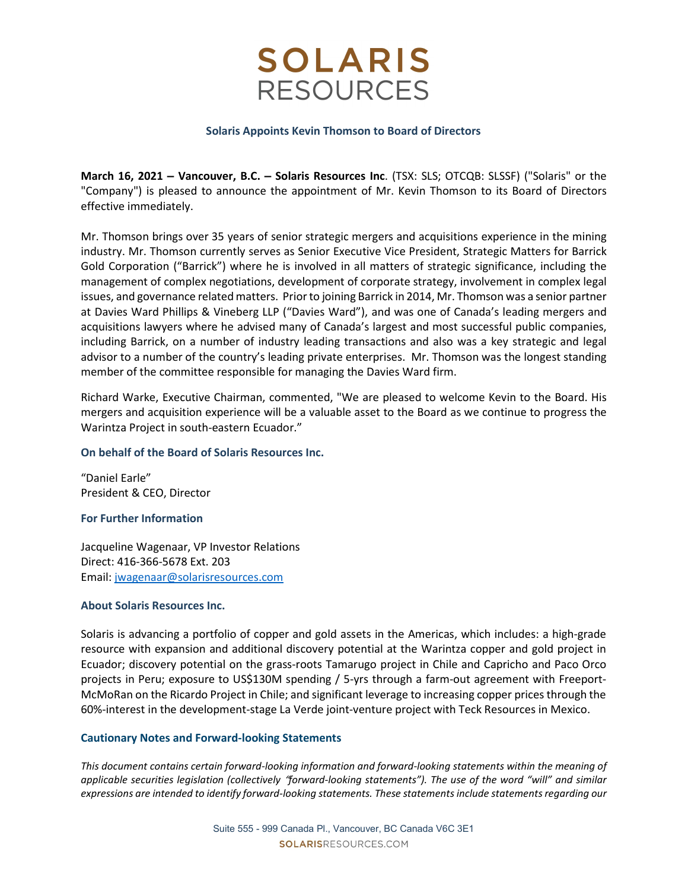## **SOLARIS RESOURCES**

#### Solaris Appoints Kevin Thomson to Board of Directors

March 16, 2021 – Vancouver, B.C. – Solaris Resources Inc. (TSX: SLS; OTCQB: SLSSF) ("Solaris" or the "Company") is pleased to announce the appointment of Mr. Kevin Thomson to its Board of Directors effective immediately.

Mr. Thomson brings over 35 years of senior strategic mergers and acquisitions experience in the mining industry. Mr. Thomson currently serves as Senior Executive Vice President, Strategic Matters for Barrick Gold Corporation ("Barrick") where he is involved in all matters of strategic significance, including the management of complex negotiations, development of corporate strategy, involvement in complex legal issues, and governance related matters. Prior to joining Barrick in 2014, Mr. Thomson was a senior partner at Davies Ward Phillips & Vineberg LLP ("Davies Ward"), and was one of Canada's leading mergers and acquisitions lawyers where he advised many of Canada's largest and most successful public companies, including Barrick, on a number of industry leading transactions and also was a key strategic and legal advisor to a number of the country's leading private enterprises. Mr. Thomson was the longest standing member of the committee responsible for managing the Davies Ward firm.

Richard Warke, Executive Chairman, commented, "We are pleased to welcome Kevin to the Board. His mergers and acquisition experience will be a valuable asset to the Board as we continue to progress the Warintza Project in south-eastern Ecuador."

### On behalf of the Board of Solaris Resources Inc.

"Daniel Earle" President & CEO, Director

### For Further Information

Jacqueline Wagenaar, VP Investor Relations Direct: 416-366-5678 Ext. 203 Email: jwagenaar@solarisresources.com

### About Solaris Resources Inc.

Solaris is advancing a portfolio of copper and gold assets in the Americas, which includes: a high-grade resource with expansion and additional discovery potential at the Warintza copper and gold project in Ecuador; discovery potential on the grass-roots Tamarugo project in Chile and Capricho and Paco Orco projects in Peru; exposure to US\$130M spending / 5-yrs through a farm-out agreement with Freeport-McMoRan on the Ricardo Project in Chile; and significant leverage to increasing copper prices through the 60%-interest in the development-stage La Verde joint-venture project with Teck Resources in Mexico.

### Cautionary Notes and Forward-looking Statements

This document contains certain forward-looking information and forward-looking statements within the meaning of applicable securities legislation (collectively "forward-looking statements"). The use of the word "will" and similar expressions are intended to identify forward-looking statements. These statements include statements regarding our